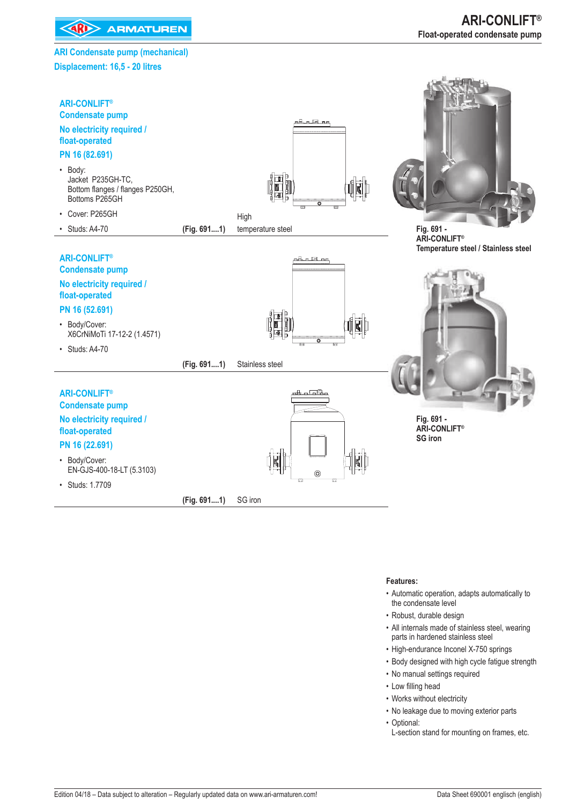**EXAMPLE ARMATUREN** 

### **ARI Condensate pump (mechanical) Displacement: 16,5 - 20 litres**



### **Features:**

- Automatic operation, adapts automatically to the condensate level
- Robust, durable design
- All internals made of stainless steel, wearing parts in hardened stainless steel
- High-endurance Inconel X-750 springs
- Body designed with high cycle fatigue strength
- No manual settings required
- Low filling head
- Works without electricity
- No leakage due to moving exterior parts
- Optional:
	- L-section stand for mounting on frames, etc.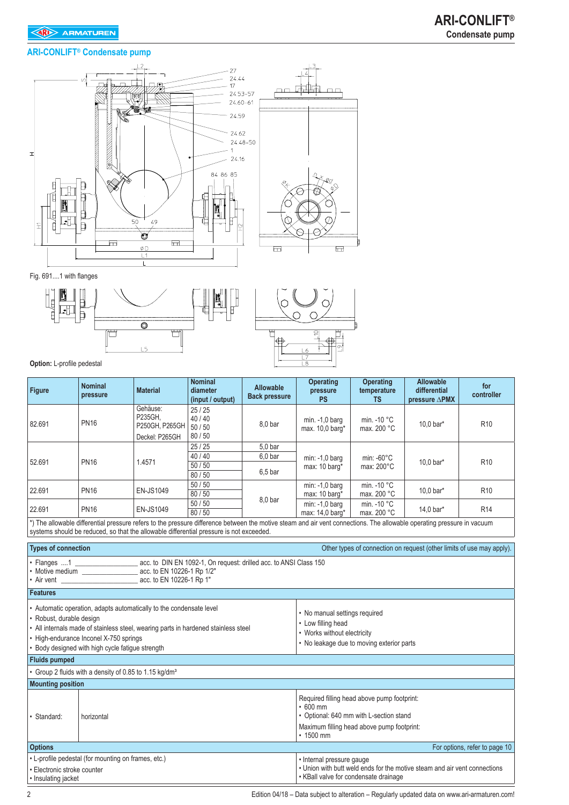### **ARI-CONLIFT® Condensate pump**



Fig. 691....1 with flanges



**Option:** L-profile pedestal

| <b>Figure</b>                                                                                                                                                                                                                                                | <b>Nominal</b><br>pressure                                                                                                                                                                                                                                        | <b>Material</b>                                         | <b>Nominal</b><br>diameter<br>(input / output) | <b>Allowable</b><br><b>Back pressure</b>                       | <b>Operating</b><br><b>Operating</b><br><b>Allowable</b><br>differential<br>temperature<br>pressure<br>controller<br><b>PS</b><br><b>TS</b><br>pressure $\triangle$ PMX |                                           |           |                 |  |  |  |  |  |
|--------------------------------------------------------------------------------------------------------------------------------------------------------------------------------------------------------------------------------------------------------------|-------------------------------------------------------------------------------------------------------------------------------------------------------------------------------------------------------------------------------------------------------------------|---------------------------------------------------------|------------------------------------------------|----------------------------------------------------------------|-------------------------------------------------------------------------------------------------------------------------------------------------------------------------|-------------------------------------------|-----------|-----------------|--|--|--|--|--|
| 82.691                                                                                                                                                                                                                                                       | <b>PN16</b>                                                                                                                                                                                                                                                       | Gehäuse:<br>P235GH.<br>P250GH, P265GH<br>Deckel: P265GH | 25/25<br>40/40<br>50/50<br>80/50               | 8,0 bar                                                        | min. -1,0 barg<br>max. 10,0 barg*                                                                                                                                       | min. - 10 °C<br>max. 200 °C               | 10,0 bar* | R <sub>10</sub> |  |  |  |  |  |
| 52.691                                                                                                                                                                                                                                                       | <b>PN16</b>                                                                                                                                                                                                                                                       | 1.4571                                                  | 25/25<br>40/40<br>50/50<br>80/50               | 5.0 <sub>bar</sub><br>6.0 <sub>bar</sub><br>6.5 <sub>bar</sub> | $min: -1.0$ barg<br>max: 10 barg*                                                                                                                                       | min: $-60^{\circ}$ C<br>max: 200°C        | 10,0 bar* | R <sub>10</sub> |  |  |  |  |  |
| 22.691                                                                                                                                                                                                                                                       | <b>PN16</b>                                                                                                                                                                                                                                                       | <b>EN-JS1049</b>                                        | 50/50<br>80/50                                 | 8.0 <sub>bar</sub>                                             | $min: -1, 0$ barg<br>max: 10 barg*                                                                                                                                      | min. - 10 °C<br>max. 200 °C               | 10,0 bar* | R <sub>10</sub> |  |  |  |  |  |
| 22.691                                                                                                                                                                                                                                                       | <b>PN16</b>                                                                                                                                                                                                                                                       | <b>EN-JS1049</b>                                        | 50/50<br>80/50                                 |                                                                | $min: -1, 0$ barg<br>max: 14,0 barg*                                                                                                                                    | min. - 10 °C<br>max. 200 °C               | 14,0 bar* | R <sub>14</sub> |  |  |  |  |  |
|                                                                                                                                                                                                                                                              | *) The allowable differential pressure refers to the pressure difference between the motive steam and air vent connections. The allowable operating pressure in vacuum<br>systems should be reduced, so that the allowable differential pressure is not exceeded. |                                                         |                                                |                                                                |                                                                                                                                                                         |                                           |           |                 |  |  |  |  |  |
| <b>Types of connection</b><br>Other types of connection on request (other limits of use may apply).                                                                                                                                                          |                                                                                                                                                                                                                                                                   |                                                         |                                                |                                                                |                                                                                                                                                                         |                                           |           |                 |  |  |  |  |  |
|                                                                                                                                                                                                                                                              | . Flanges 1 ________________________ acc. to DIN EN 1092-1, On request: drilled acc. to ANSI Class 150<br>• Motive medium _____________________ acc. to EN 10226-1 Rp 1/2"                                                                                        |                                                         |                                                |                                                                |                                                                                                                                                                         |                                           |           |                 |  |  |  |  |  |
| <b>Features</b>                                                                                                                                                                                                                                              |                                                                                                                                                                                                                                                                   |                                                         |                                                |                                                                |                                                                                                                                                                         |                                           |           |                 |  |  |  |  |  |
| · Robust, durable design                                                                                                                                                                                                                                     | • Automatic operation, adapts automatically to the condensate level<br>• All internals made of stainless steel, wearing parts in hardened stainless steel<br>• High-endurance Inconel X-750 springs<br>• Body designed with high cycle fatigue strength           |                                                         |                                                |                                                                | • No manual settings required<br>• Low filling head<br>• Works without electricity                                                                                      | • No leakage due to moving exterior parts |           |                 |  |  |  |  |  |
| <b>Fluids pumped</b>                                                                                                                                                                                                                                         |                                                                                                                                                                                                                                                                   |                                                         |                                                |                                                                |                                                                                                                                                                         |                                           |           |                 |  |  |  |  |  |
|                                                                                                                                                                                                                                                              | • Group 2 fluids with a density of 0.85 to 1.15 kg/dm <sup>3</sup>                                                                                                                                                                                                |                                                         |                                                |                                                                |                                                                                                                                                                         |                                           |           |                 |  |  |  |  |  |
| <b>Mounting position</b>                                                                                                                                                                                                                                     |                                                                                                                                                                                                                                                                   |                                                         |                                                |                                                                |                                                                                                                                                                         |                                           |           |                 |  |  |  |  |  |
| Required filling head above pump footprint:<br>$\cdot$ 600 mm<br>• Optional: 640 mm with L-section stand<br>Standard:<br>horizontal<br>Maximum filling head above pump footprint:<br>$\cdot$ 1500 mm                                                         |                                                                                                                                                                                                                                                                   |                                                         |                                                |                                                                |                                                                                                                                                                         |                                           |           |                 |  |  |  |  |  |
| <b>Options</b>                                                                                                                                                                                                                                               | For options, refer to page 10                                                                                                                                                                                                                                     |                                                         |                                                |                                                                |                                                                                                                                                                         |                                           |           |                 |  |  |  |  |  |
| • L-profile pedestal (for mounting on frames, etc.)<br>• Internal pressure gauge<br>. Union with butt weld ends for the motive steam and air vent connections<br>• Electronic stroke counter<br>• KBall valve for condensate drainage<br>• Insulating jacket |                                                                                                                                                                                                                                                                   |                                                         |                                                |                                                                |                                                                                                                                                                         |                                           |           |                 |  |  |  |  |  |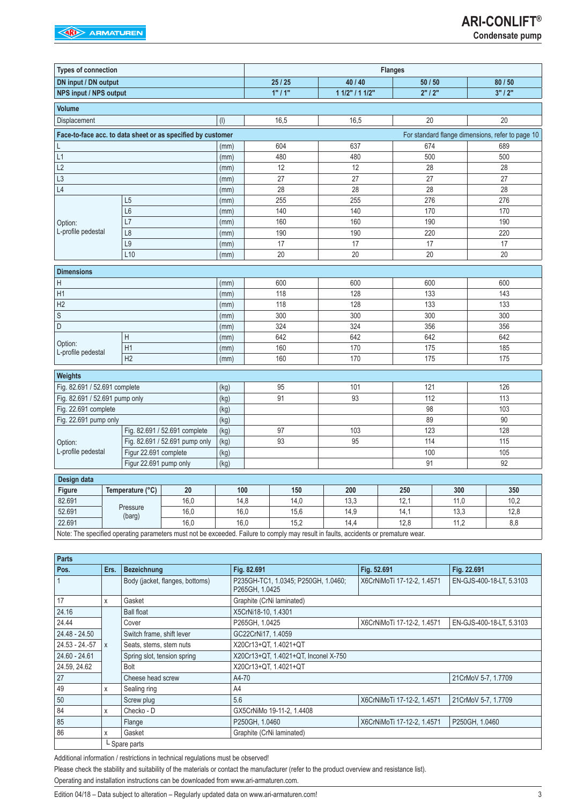| <b>Types of connection</b>     |                                                             |                                |      | <b>Flanges</b>                                                                                                                      |                 |         |      |                                                  |  |  |  |  |
|--------------------------------|-------------------------------------------------------------|--------------------------------|------|-------------------------------------------------------------------------------------------------------------------------------------|-----------------|---------|------|--------------------------------------------------|--|--|--|--|
| DN input / DN output           |                                                             |                                |      | 25/25                                                                                                                               | 40 / 40         | 50 / 50 |      | 80 / 50                                          |  |  |  |  |
| <b>NPS input / NPS output</b>  |                                                             |                                |      | 1"11"                                                                                                                               | 1 1/2" / 1 1/2" | 2"12"   |      | 3" / 2"                                          |  |  |  |  |
| <b>Volume</b>                  |                                                             |                                |      |                                                                                                                                     |                 |         |      |                                                  |  |  |  |  |
| Displacement                   |                                                             |                                | (1)  | 16,5                                                                                                                                | 16,5            | 20      |      | 20                                               |  |  |  |  |
|                                | Face-to-face acc. to data sheet or as specified by customer |                                |      |                                                                                                                                     |                 |         |      | For standard flange dimensions, refer to page 10 |  |  |  |  |
|                                |                                                             |                                | (mm) | 604                                                                                                                                 | 637             | 674     |      | 689                                              |  |  |  |  |
| L1                             |                                                             |                                | (mm) | 480                                                                                                                                 | 480             | 500     |      | 500                                              |  |  |  |  |
| L2                             |                                                             |                                | (mm) | 12                                                                                                                                  | 12              | 28      |      | $\overline{28}$                                  |  |  |  |  |
| L <sub>3</sub>                 |                                                             |                                | (mm) | 27                                                                                                                                  | 27              | 27      |      | 27                                               |  |  |  |  |
| L4                             |                                                             |                                | (mm) | 28                                                                                                                                  | 28              | 28      |      | 28                                               |  |  |  |  |
|                                | L <sub>5</sub>                                              |                                | (mm) | 255                                                                                                                                 | 255             | 276     |      | 276                                              |  |  |  |  |
|                                | L6                                                          |                                | (mm) | 140                                                                                                                                 | 140             | 170     |      | 170                                              |  |  |  |  |
| Option:                        | L7                                                          |                                | (mm) | 160                                                                                                                                 | 160             | 190     |      | 190                                              |  |  |  |  |
| L-profile pedestal             | L <sub>8</sub>                                              |                                | (mm) | 190                                                                                                                                 | 190             | 220     |      | 220                                              |  |  |  |  |
|                                | L <sub>9</sub>                                              |                                | (mm) | 17                                                                                                                                  | 17              | 17      |      | 17                                               |  |  |  |  |
|                                | L10                                                         |                                | (mm) | 20                                                                                                                                  | 20              | 20      |      | 20                                               |  |  |  |  |
| <b>Dimensions</b>              |                                                             |                                |      |                                                                                                                                     |                 |         |      |                                                  |  |  |  |  |
| Н                              |                                                             |                                | (mm) | 600                                                                                                                                 | 600             | 600     |      | 600                                              |  |  |  |  |
| H1                             |                                                             |                                | (mm) | 118                                                                                                                                 | 128             | 133     |      | 143                                              |  |  |  |  |
| H2                             |                                                             |                                | (mm) | 118                                                                                                                                 | 128             | 133     |      | 133                                              |  |  |  |  |
| $\mathsf S$                    |                                                             |                                | (mm) | 300                                                                                                                                 | 300             | 300     |      | 300                                              |  |  |  |  |
| D                              |                                                             |                                | (mm) | 324                                                                                                                                 | 324             | 356     |      | 356                                              |  |  |  |  |
|                                | $\boldsymbol{\mathsf{H}}$                                   |                                | (mm) | 642                                                                                                                                 | 642             | 642     |      | 642                                              |  |  |  |  |
| Option:<br>L-profile pedestal  | H1                                                          |                                | (mm) | 160                                                                                                                                 | 170             | 175     |      | 185                                              |  |  |  |  |
|                                | H2                                                          |                                | (mm) | 160                                                                                                                                 | 170             | 175     |      | 175                                              |  |  |  |  |
| Weights                        |                                                             |                                |      |                                                                                                                                     |                 |         |      |                                                  |  |  |  |  |
| Fig. 82.691 / 52.691 complete  |                                                             |                                | (kg) | 95                                                                                                                                  | 101             | 121     |      | 126                                              |  |  |  |  |
| Fig. 82.691 / 52.691 pump only |                                                             |                                | (kg) | 91                                                                                                                                  | 93              | 112     |      | 113                                              |  |  |  |  |
| Fig. 22.691 complete           |                                                             |                                | (kg) |                                                                                                                                     |                 | 98      |      | 103                                              |  |  |  |  |
| Fig. 22.691 pump only          |                                                             |                                | (kg) |                                                                                                                                     |                 | 89      |      | $\overline{90}$                                  |  |  |  |  |
|                                |                                                             | Fig. 82.691 / 52.691 complete  | (kg) | 97                                                                                                                                  | 103             | 123     |      | 128                                              |  |  |  |  |
| Option:                        |                                                             | Fig. 82.691 / 52.691 pump only | (kg) | 93                                                                                                                                  | 95              | 114     |      | 115                                              |  |  |  |  |
| L-profile pedestal             | Figur 22.691 complete                                       |                                | (kg) |                                                                                                                                     |                 | 100     |      | 105                                              |  |  |  |  |
|                                | Figur 22.691 pump only                                      |                                | (kg) |                                                                                                                                     |                 | 91      |      | 92                                               |  |  |  |  |
| Design data                    |                                                             |                                |      |                                                                                                                                     |                 |         |      |                                                  |  |  |  |  |
| Figure                         | Temperature (°C)                                            | 20                             | 100  | 150                                                                                                                                 | 200             | 250     | 300  | 350                                              |  |  |  |  |
| 82.691                         |                                                             | 16,0                           | 14,8 | 14,0                                                                                                                                | 13,3            | 12,1    | 11,0 | 10,2                                             |  |  |  |  |
| 52.691                         | Pressure<br>(barg)                                          | 16,0                           | 16,0 | 15,6                                                                                                                                | 14,9            | 14,1    | 13,3 | 12,8                                             |  |  |  |  |
| 22.691                         |                                                             | 16,0                           | 16,0 | 15,2                                                                                                                                | 14,4            | 12,8    | 11,2 | 8,8                                              |  |  |  |  |
|                                |                                                             |                                |      | Note: The enceiting percepting perception must not be expected. Follum to comply moy requit in foulte, accidents or promoture wear. |                 |         |      |                                                  |  |  |  |  |

Note: The specified operating parameters must not be exceeded. Failure to comply may result in fact

| Parts          |              |                                 |                                                       |                            |                          |  |  |  |  |
|----------------|--------------|---------------------------------|-------------------------------------------------------|----------------------------|--------------------------|--|--|--|--|
| Pos.           | Ers.         | <b>Bezeichnung</b>              | Fig. 82.691                                           | Fig. 52.691                | Fig. 22.691              |  |  |  |  |
|                |              | Body (jacket, flanges, bottoms) | P235GH-TC1, 1.0345; P250GH, 1.0460;<br>P265GH, 1.0425 | X6CrNiMoTi 17-12-2, 1.4571 | EN-GJS-400-18-LT, 5.3103 |  |  |  |  |
| 17             | X            | Gasket                          | Graphite (CrNi laminated)                             |                            |                          |  |  |  |  |
| 24.16          |              | <b>Ball float</b>               | X5CrNi18-10, 1.4301                                   |                            |                          |  |  |  |  |
| 24.44          |              | Cover                           | P265GH, 1.0425                                        | X6CrNiMoTi 17-12-2, 1.4571 | EN-GJS-400-18-LT, 5.3103 |  |  |  |  |
| 24.48 - 24.50  |              | Switch frame, shift lever       | GC22CrNi17, 1.4059                                    |                            |                          |  |  |  |  |
| 24.53 - 24.-57 | $\mathsf{x}$ | Seats, stems, stem nuts         | X20Cr13+QT, 1.4021+QT                                 |                            |                          |  |  |  |  |
| 24.60 - 24.61  |              | Spring slot, tension spring     | X20Cr13+QT, 1.4021+QT, Inconel X-750                  |                            |                          |  |  |  |  |
| 24.59, 24.62   |              | Bolt                            | X20Cr13+QT, 1.4021+QT                                 |                            |                          |  |  |  |  |
| 27             |              | Cheese head screw               | A4-70                                                 |                            | 21CrMoV 5-7, 1.7709      |  |  |  |  |
| 49             | X            | Sealing ring                    | A4                                                    |                            |                          |  |  |  |  |
| 50             |              | Screw plug                      | 5.6                                                   | X6CrNiMoTi 17-12-2, 1.4571 | 21CrMoV 5-7, 1.7709      |  |  |  |  |
| 84             | X            | Checko - D                      | GX5CrNiMo 19-11-2, 1.4408                             |                            |                          |  |  |  |  |
| 85             |              | Flange                          | P250GH, 1.0460                                        | X6CrNiMoTi 17-12-2, 1.4571 | P250GH, 1.0460           |  |  |  |  |
| 86             | X            | Gasket                          | Graphite (CrNi laminated)                             |                            |                          |  |  |  |  |
|                |              | $L$ Spare parts                 |                                                       |                            |                          |  |  |  |  |

Additional information / restrictions in technical regulations must be observed!

Please check the stability and suitability of the materials or contact the manufacturer (refer to the product overview and resistance list).

Operating and installation instructions can be downloaded from www.ari-armaturen.com.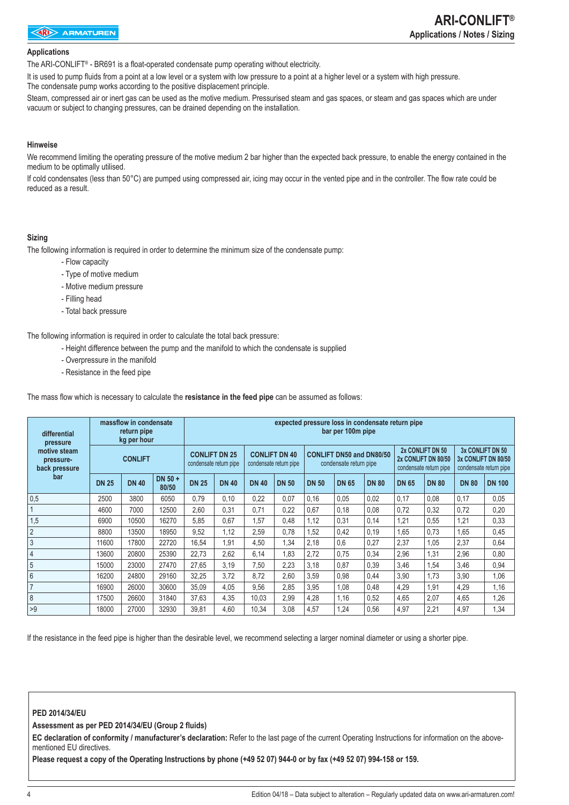#### **Applications**

The ARI-CONLIFT® - BR691 is a float-operated condensate pump operating without electricity.

It is used to pump fluids from a point at a low level or a system with low pressure to a point at a higher level or a system with high pressure. The condensate pump works according to the positive displacement principle.

Steam, compressed air or inert gas can be used as the motive medium. Pressurised steam and gas spaces, or steam and gas spaces which are under vacuum or subject to changing pressures, can be drained depending on the installation.

### **Hinweise**

We recommend limiting the operating pressure of the motive medium 2 bar higher than the expected back pressure, to enable the energy contained in the medium to be optimally utilised.

If cold condensates (less than 50°C) are pumped using compressed air, icing may occur in the vented pipe and in the controller. The flow rate could be reduced as a result.

### **Sizing**

The following information is required in order to determine the minimum size of the condensate pump:

- Flow capacity
- Type of motive medium
- Motive medium pressure
- Filling head
- Total back pressure

The following information is required in order to calculate the total back pressure:

- Height difference between the pump and the manifold to which the condensate is supplied
- Overpressure in the manifold
- Resistance in the feed pipe

The mass flow which is necessary to calculate the **resistance in the feed pipe** can be assumed as follows:

| differential<br>pressure<br>motive steam |              | massflow in condensate<br>return pipe<br>kg per hour |                  | expected pressure loss in condensate return pipe<br>bar per 100m pipe |              |              |                                                |              |                                                           |              |                                         |                        |              |                                                                   |  |  |
|------------------------------------------|--------------|------------------------------------------------------|------------------|-----------------------------------------------------------------------|--------------|--------------|------------------------------------------------|--------------|-----------------------------------------------------------|--------------|-----------------------------------------|------------------------|--------------|-------------------------------------------------------------------|--|--|
| pressure-<br>back pressure               |              | <b>CONLIFT</b>                                       |                  | <b>CONLIFT DN 25</b><br>condensate return pipe                        |              |              | <b>CONLIFT DN 40</b><br>condensate return pipe |              | <b>CONLIFT DN50 and DN80/50</b><br>condensate return pipe |              | 2x CONLIFT DN 50<br>2x CONLIFT DN 80/50 | condensate return pipe |              | 3x CONLIFT DN 50<br>3x CONLIFT DN 80/50<br>condensate return pipe |  |  |
| bar                                      | <b>DN 25</b> | <b>DN 40</b>                                         | DN 50 +<br>80/50 | <b>DN 25</b>                                                          | <b>DN 40</b> | <b>DN 40</b> | <b>DN 50</b>                                   | <b>DN 50</b> | <b>DN 65</b>                                              | <b>DN 80</b> | <b>DN 65</b>                            | <b>DN 80</b>           | <b>DN 80</b> | <b>DN 100</b>                                                     |  |  |
| 0,5                                      | 2500         | 3800                                                 | 6050             | 0.79                                                                  | 0,10         | 0,22         | 0,07                                           | 0,16         | 0.05                                                      | 0,02         | 0,17                                    | 0,08                   | 0,17         | 0,05                                                              |  |  |
|                                          | 4600         | 7000                                                 | 12500            | 2,60                                                                  | 0,31         | 0,71         | 0,22                                           | 0,67         | 0,18                                                      | 0,08         | 0,72                                    | 0,32                   | 0,72         | 0,20                                                              |  |  |
| 1,5                                      | 6900         | 10500                                                | 16270            | 5,85                                                                  | 0.67         | 1,57         | 0,48                                           | 1,12         | 0,31                                                      | 0,14         | 1,21                                    | 0,55                   | 1,21         | 0,33                                                              |  |  |
| $\overline{2}$                           | 8800         | 13500                                                | 18950            | 9,52                                                                  | 1,12         | 2,59         | 0,78                                           | 1,52         | 0,42                                                      | 0,19         | 1,65                                    | 0,73                   | 1,65         | 0,45                                                              |  |  |
| $\mathbf{3}$                             | 11600        | 17800                                                | 22720            | 16,54                                                                 | 1,91         | 4,50         | 1,34                                           | 2,18         | 0,6                                                       | 0,27         | 2,37                                    | 1,05                   | 2,37         | 0,64                                                              |  |  |
| $\overline{4}$                           | 13600        | 20800                                                | 25390            | 22,73                                                                 | 2,62         | 6,14         | 1,83                                           | 2,72         | 0,75                                                      | 0,34         | 2,96                                    | 1,31                   | 2,96         | 0,80                                                              |  |  |
| 5                                        | 15000        | 23000                                                | 27470            | 27,65                                                                 | 3.19         | 7,50         | 2,23                                           | 3,18         | 0,87                                                      | 0,39         | 3,46                                    | 1,54                   | 3,46         | 0,94                                                              |  |  |
| 6                                        | 16200        | 24800                                                | 29160            | 32,25                                                                 | 3,72         | 8,72         | 2,60                                           | 3,59         | 0,98                                                      | 0,44         | 3,90                                    | 1,73                   | 3,90         | 1,06                                                              |  |  |
| 7                                        | 16900        | 26000                                                | 30600            | 35,09                                                                 | 4.05         | 9,56         | 2,85                                           | 3,95         | 1,08                                                      | 0,48         | 4,29                                    | 1,91                   | 4,29         | 1,16                                                              |  |  |
| 8                                        | 17500        | 26600                                                | 31840            | 37,63                                                                 | 4,35         | 10,03        | 2,99                                           | 4,28         | 1,16                                                      | 0,52         | 4,65                                    | 2,07                   | 4,65         | 1,26                                                              |  |  |
| >9                                       | 18000        | 27000                                                | 32930            | 39,81                                                                 | 4,60         | 10,34        | 3,08                                           | 4,57         | 1,24                                                      | 0,56         | 4,97                                    | 2,21                   | 4,97         | 1,34                                                              |  |  |

If the resistance in the feed pipe is higher than the desirable level, we recommend selecting a larger nominal diameter or using a shorter pipe.

#### **PED 2014/34/EU**

**Assessment as per PED 2014/34/EU (Group 2 fluids)**

**EC declaration of conformity / manufacturer's declaration:** Refer to the last page of the current Operating Instructions for information on the abovementioned EU directives.

**Please request a copy of the Operating Instructions by phone (+49 52 07) 944-0 or by fax (+49 52 07) 994-158 or 159.**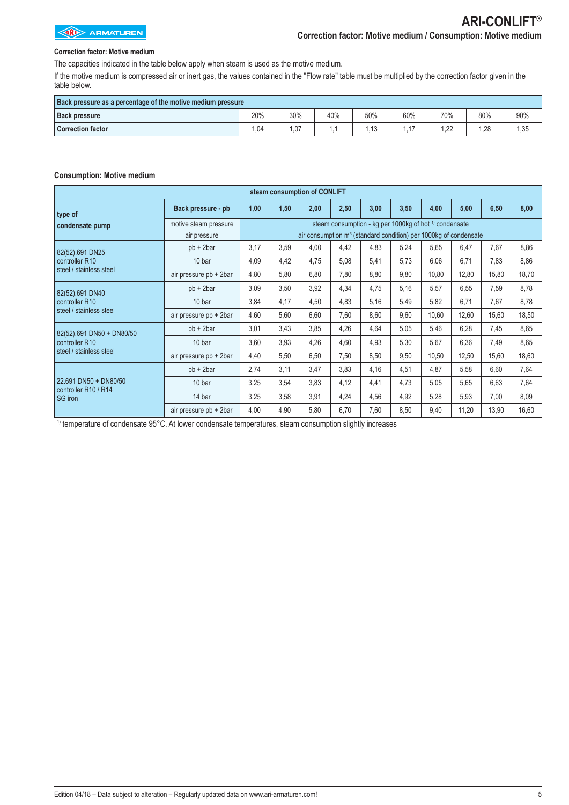### **Correction factor: Motive medium**

The capacities indicated in the table below apply when steam is used as the motive medium.

If the motive medium is compressed air or inert gas, the values contained in the "Flow rate" table must be multiplied by the correction factor given in the table below.

| Back pressure as a percentage of the motive medium pressure |     |     |     |     |     |     |     |      |
|-------------------------------------------------------------|-----|-----|-----|-----|-----|-----|-----|------|
| <b>Back pressure</b>                                        | 20% | 30% | 40% | 50% | 60% | 70% | 80% | 90%  |
| <b>Correction factor</b>                                    | .04 | .07 |     |     |     | .22 | .28 | 1,35 |

### **Consumption: Motive medium**

|                                               |                        |      | steam consumption of CONLIFT |      |      |      |                                                                              |       |       |       |       |
|-----------------------------------------------|------------------------|------|------------------------------|------|------|------|------------------------------------------------------------------------------|-------|-------|-------|-------|
| type of                                       | Back pressure - pb     | 1,00 | 1,50                         | 2,00 | 2,50 | 3,00 | 3,50                                                                         | 4,00  | 5,00  | 6,50  | 8,00  |
| condensate pump                               | motive steam pressure  |      |                              |      |      |      | steam consumption - kg per 1000kg of hot <sup>1)</sup> condensate            |       |       |       |       |
|                                               | air pressure           |      |                              |      |      |      | air consumption m <sup>3</sup> (standard condition) per 1000kg of condensate |       |       |       |       |
| 82(52).691 DN25                               | $pb + 2bar$            | 3,17 | 3,59                         | 4,00 | 4,42 | 4,83 | 5,24                                                                         | 5,65  | 6,47  | 7,67  | 8,86  |
| controller R10                                | 10 bar                 | 4,09 | 4,42                         | 4,75 | 5,08 | 5,41 | 5,73                                                                         | 6,06  | 6,71  | 7,83  | 8,86  |
| steel / stainless steel                       | air pressure pb + 2bar | 4,80 | 5,80                         | 6,80 | 7,80 | 8,80 | 9,80                                                                         | 10,80 | 12,80 | 15,80 | 18,70 |
| 82(52).691 DN40                               | $pb + 2bar$            | 3,09 | 3,50                         | 3,92 | 4,34 | 4,75 | 5,16                                                                         | 5,57  | 6,55  | 7,59  | 8,78  |
| controller R10                                | 10 bar                 | 3,84 | 4,17                         | 4,50 | 4,83 | 5,16 | 5,49                                                                         | 5,82  | 6,71  | 7,67  | 8,78  |
| steel / stainless steel                       | air pressure pb + 2bar | 4,60 | 5,60                         | 6,60 | 7,60 | 8,60 | 9,60                                                                         | 10,60 | 12,60 | 15,60 | 18,50 |
| 82(52).691 DN50 + DN80/50                     | $pb + 2bar$            | 3,01 | 3,43                         | 3,85 | 4,26 | 4,64 | 5,05                                                                         | 5,46  | 6,28  | 7,45  | 8,65  |
| controller R10                                | 10 bar                 | 3,60 | 3,93                         | 4,26 | 4,60 | 4,93 | 5,30                                                                         | 5,67  | 6,36  | 7,49  | 8,65  |
| steel / stainless steel                       | air pressure pb + 2bar | 4,40 | 5,50                         | 6,50 | 7,50 | 8,50 | 9,50                                                                         | 10,50 | 12,50 | 15,60 | 18,60 |
|                                               | $pb + 2bar$            | 2,74 | 3,11                         | 3,47 | 3,83 | 4,16 | 4,51                                                                         | 4,87  | 5,58  | 6,60  | 7,64  |
| 22.691 DN50 + DN80/50<br>controller R10 / R14 | 10 bar                 | 3,25 | 3,54                         | 3,83 | 4,12 | 4,41 | 4,73                                                                         | 5,05  | 5,65  | 6,63  | 7,64  |
| SG iron                                       | 14 bar                 | 3,25 | 3,58                         | 3,91 | 4,24 | 4,56 | 4,92                                                                         | 5,28  | 5,93  | 7,00  | 8,09  |
|                                               | air pressure pb + 2bar | 4,00 | 4,90                         | 5,80 | 6,70 | 7,60 | 8,50                                                                         | 9,40  | 11,20 | 13,90 | 16,60 |

<sup>1)</sup> temperature of condensate 95°C. At lower condensate temperatures, steam consumption slightly increases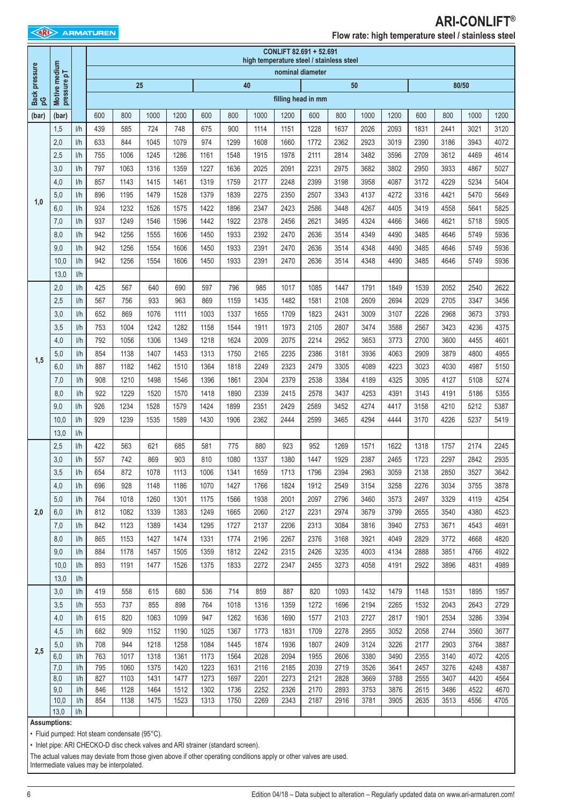### **ARI-CONLIFT® Flow rate: high temperature steel / stainless steel**

|                     |                              |     |     |                                              |                                                                                  |      |      |      |                                                                                                                    |                  |                                                                                               |      | .    |      |      |      |       |      |
|---------------------|------------------------------|-----|-----|----------------------------------------------|----------------------------------------------------------------------------------|------|------|------|--------------------------------------------------------------------------------------------------------------------|------------------|-----------------------------------------------------------------------------------------------|------|------|------|------|------|-------|------|
|                     |                              |     |     |                                              |                                                                                  |      |      |      | high temperature steel / stainless steel                                                                           |                  | CONLIFT 82.691 + 52.691                                                                       |      |      |      |      |      |       |      |
|                     |                              |     |     |                                              |                                                                                  |      |      |      |                                                                                                                    | nominal diameter |                                                                                               |      |      |      |      |      |       |      |
|                     |                              |     |     |                                              | 25                                                                               |      |      |      | 40                                                                                                                 |                  |                                                                                               |      | 50   |      |      |      | 80/50 |      |
| Back pressure<br>pG | Motive medium<br>pressure pT |     |     |                                              |                                                                                  |      |      |      |                                                                                                                    |                  | filling head in mm                                                                            |      |      |      |      |      |       |      |
|                     |                              |     |     |                                              |                                                                                  |      |      |      |                                                                                                                    |                  |                                                                                               |      |      |      |      |      |       |      |
| (bar)               | (bar)                        |     | 600 | 800                                          | 1000                                                                             | 1200 | 600  | 800  | 1000                                                                                                               | 1200             | 600                                                                                           | 800  | 1000 | 1200 | 600  | 800  | 1000  | 1200 |
|                     | 1,5                          | 1/h | 439 | 585                                          | 724                                                                              | 748  | 675  | 900  | 1114                                                                                                               | 1151             | 1228                                                                                          | 1637 | 2026 | 2093 | 1831 | 2441 | 3021  | 3120 |
|                     | 2,0                          | 1/h | 633 | 844                                          | 1045                                                                             | 1079 | 974  | 1299 | 1608                                                                                                               | 1660             | 1772                                                                                          | 2362 | 2923 | 3019 | 2390 | 3186 | 3943  | 4072 |
|                     | 2,5                          | 1/h | 755 | 1006                                         | 1245                                                                             | 1286 | 1161 | 1548 | 1915                                                                                                               | 1978             | 2111                                                                                          | 2814 | 3482 | 3596 | 2709 | 3612 | 4469  | 4614 |
|                     | 3,0                          | 1/h | 797 | 1063                                         | 1316                                                                             | 1359 | 1227 | 1636 | 2025                                                                                                               | 2091             | 2231                                                                                          | 2975 | 3682 | 3802 | 2950 | 3933 | 4867  | 5027 |
|                     | 4,0                          | 1/h | 857 | 1143                                         | 1415                                                                             | 1461 | 1319 | 1759 | 2177                                                                                                               | 2248             | 2399                                                                                          | 3198 | 3958 | 4087 | 3172 | 4229 | 5234  | 5404 |
| 1,0                 | 5,0                          | 1/h | 896 | 1195                                         | 1479                                                                             | 1528 | 1379 | 1839 | 2275                                                                                                               | 2350             | 2507                                                                                          | 3343 | 4137 | 4272 | 3316 | 4421 | 5470  | 5649 |
|                     | 6,0                          | I/h | 924 | 1232                                         | 1526                                                                             | 1575 | 1422 | 1896 | 2347                                                                                                               | 2423             | 2586                                                                                          | 3448 | 4267 | 4405 | 3419 | 4558 | 5641  | 5825 |
|                     | 7,0                          | I/h | 937 | 1249                                         | 1546                                                                             | 1596 | 1442 | 1922 | 2378                                                                                                               | 2456             | 2621                                                                                          | 3495 | 4324 | 4466 | 3466 | 4621 | 5718  | 5905 |
|                     | 8,0                          | 1/h | 942 | 1256                                         | 1555                                                                             | 1606 | 1450 | 1933 | 2392                                                                                                               | 2470             | 2636                                                                                          | 3514 | 4349 | 4490 | 3485 | 4646 | 5749  | 5936 |
|                     | 9,0                          | 1/h | 942 | 1256                                         | 1554                                                                             | 1606 | 1450 | 1933 | 2391                                                                                                               | 2470             | 2636                                                                                          | 3514 | 4348 | 4490 | 3485 | 4646 | 5749  | 5936 |
|                     | 10,0                         | I/h | 942 | 1256                                         | 1554                                                                             | 1606 | 1450 | 1933 | 2391                                                                                                               | 2470             | 2636                                                                                          | 3514 | 4348 | 4490 | 3485 | 4646 | 5749  | 5936 |
|                     | 13,0                         | 1/h |     |                                              |                                                                                  |      |      |      |                                                                                                                    |                  |                                                                                               |      |      |      |      |      |       |      |
|                     | 2,0                          | 1/h | 425 | 567                                          | 640                                                                              | 690  | 597  | 796  | 985                                                                                                                | 1017             | 1085                                                                                          | 1447 | 1791 | 1849 | 1539 | 2052 | 2540  | 2622 |
|                     | 2,5                          | 1/h | 567 | 756                                          | 933                                                                              | 963  | 869  | 1159 | 1435                                                                                                               | 1482             | 1581                                                                                          | 2108 | 2609 | 2694 | 2029 | 2705 | 3347  | 3456 |
|                     | 3,0                          | 1/h | 652 | 869                                          | 1076                                                                             | 1111 | 1003 | 1337 | 1655                                                                                                               | 1709             | 1823                                                                                          | 2431 | 3009 | 3107 | 2226 | 2968 | 3673  | 3793 |
|                     | 3,5                          | 1/h | 753 | 1004                                         | 1242                                                                             | 1282 | 1158 | 1544 | 1911                                                                                                               | 1973             | 2105                                                                                          | 2807 | 3474 | 3588 | 2567 | 3423 | 4236  | 4375 |
|                     | 4,0                          | 1/h | 792 | 1056                                         | 1306                                                                             | 1349 | 1218 | 1624 | 2009                                                                                                               | 2075             | 2214                                                                                          | 2952 | 3653 | 3773 | 2700 | 3600 | 4455  | 4601 |
|                     | 5,0                          | 1/h | 854 | 1138                                         | 1407                                                                             | 1453 | 1313 | 1750 | 2165                                                                                                               | 2235             | 2386                                                                                          | 3181 | 3936 | 4063 | 2909 | 3879 | 4800  | 4955 |
| 1,5                 | 6,0                          | 1/h | 887 | 1182                                         | 1462                                                                             | 1510 | 1364 | 1818 | 2249                                                                                                               | 2323             | 2479                                                                                          | 3305 | 4089 | 4223 | 3023 | 4030 | 4987  | 5150 |
|                     | 7,0                          | 1/h | 908 | 1210                                         | 1498                                                                             | 1546 | 1396 | 1861 | 2304                                                                                                               | 2379             | 2538                                                                                          | 3384 | 4189 | 4325 | 3095 | 4127 | 5108  | 5274 |
|                     | 8,0                          | 1/h | 922 | 1229                                         | 1520                                                                             | 1570 | 1418 | 1890 | 2339                                                                                                               | 2415             | 2578                                                                                          | 3437 | 4253 | 4391 | 3143 | 4191 | 5186  | 5355 |
|                     | 9,0                          | 1/h | 926 | 1234                                         | 1528                                                                             | 1579 | 1424 | 1899 | 2351                                                                                                               | 2429             | 2589                                                                                          | 3452 | 4274 | 4417 | 3158 | 4210 | 5212  | 5387 |
|                     | 10,0                         | 1/h | 929 | 1239                                         | 1535                                                                             | 1589 | 1430 | 1906 | 2362                                                                                                               | 2444             | 2599                                                                                          | 3465 | 4294 | 4444 | 3170 | 4226 | 5237  | 5419 |
|                     | 13,0                         | 1/h |     |                                              |                                                                                  |      |      |      |                                                                                                                    |                  |                                                                                               |      |      |      |      |      |       |      |
|                     | 2,5                          | 1/h | 422 | 563                                          | 621                                                                              | 685  | 581  | 775  | 880                                                                                                                | 923              | 952                                                                                           | 1269 | 1571 | 1622 | 1318 | 1757 | 2174  | 2245 |
|                     | 3,0                          | 1/h | 557 | 742                                          | 869                                                                              | 903  | 810  | 1080 | 1337                                                                                                               | 1380             | 1447                                                                                          | 1929 | 2387 | 2465 | 1723 | 2297 | 2842  | 2935 |
|                     | 3,5                          | 1/h | 654 | 872                                          | 1078                                                                             | 1113 | 1006 | 1341 | 1659                                                                                                               | 1713             | 1796                                                                                          | 2394 | 2963 | 3059 | 2138 | 2850 | 3527  | 3642 |
|                     | 4,0                          | 1/h | 696 | 928                                          | 1148                                                                             | 1186 | 1070 | 1427 | 1766                                                                                                               | 1824             | 1912                                                                                          | 2549 | 3154 | 3258 | 2276 | 3034 | 3755  | 3878 |
|                     | 5,0                          | 1/h | 764 | 1018                                         | 1260                                                                             | 1301 | 1175 | 1566 | 1938                                                                                                               | 2001             | 2097                                                                                          | 2796 | 3460 | 3573 | 2497 | 3329 | 4119  | 4254 |
| 2,0                 | 6,0                          | 1/h | 812 | 1082                                         | 1339                                                                             | 1383 | 1249 | 1665 | 2060                                                                                                               | 2127             | 2231                                                                                          | 2974 | 3679 | 3799 | 2655 | 3540 | 4380  | 4523 |
|                     | 7,0                          | I/h | 842 | 1123                                         | 1389                                                                             | 1434 | 1295 | 1727 | 2137                                                                                                               | 2206             | 2313                                                                                          | 3084 | 3816 | 3940 | 2753 | 3671 | 4543  | 4691 |
|                     | 8,0                          | 1/h | 865 | 1153                                         | 1427                                                                             | 1474 | 1331 | 1774 | 2196                                                                                                               | 2267             | 2376                                                                                          | 3168 | 3921 | 4049 | 2829 | 3772 | 4668  | 4820 |
|                     | 9,0                          | 1/h | 884 | 1178                                         | 1457                                                                             | 1505 | 1359 | 1812 | 2242                                                                                                               | 2315             | 2426                                                                                          | 3235 | 4003 | 4134 | 2888 | 3851 | 4766  | 4922 |
|                     | 10,0                         | I/h | 893 | 1191                                         | 1477                                                                             | 1526 | 1375 | 1833 | 2272                                                                                                               | 2347             | 2455                                                                                          | 3273 | 4058 | 4191 | 2922 | 3896 | 4831  | 4989 |
|                     | 13,0                         | 1/h |     |                                              |                                                                                  |      |      |      |                                                                                                                    |                  |                                                                                               |      |      |      |      |      |       |      |
|                     | 3,0                          | 1/h | 419 | 558                                          | 615                                                                              | 680  | 536  | 714  | 859                                                                                                                | 887              | 820                                                                                           | 1093 | 1432 | 1479 | 1148 | 1531 | 1895  | 1957 |
|                     | 3,5                          | I/h | 553 | 737                                          | 855                                                                              | 898  | 764  | 1018 | 1316                                                                                                               | 1359             | 1272                                                                                          | 1696 | 2194 | 2265 | 1532 | 2043 | 2643  | 2729 |
|                     | 4,0                          | 1/h | 615 | 820                                          | 1063                                                                             | 1099 | 947  | 1262 | 1636                                                                                                               | 1690             | 1577                                                                                          | 2103 | 2727 | 2817 | 1901 | 2534 | 3286  | 3394 |
|                     | 4,5                          | I/h | 682 | 909                                          | 1152                                                                             | 1190 | 1025 | 1367 | 1773                                                                                                               | 1831             | 1709                                                                                          | 2278 | 2955 | 3052 | 2058 | 2744 | 3560  | 3677 |
|                     | 5,0                          | 1/h | 708 | 944                                          | 1218                                                                             | 1258 | 1084 | 1445 | 1874                                                                                                               | 1936             | 1807                                                                                          | 2409 | 3124 | 3226 | 2177 | 2903 | 3764  | 3887 |
| 2,5                 | 6,0                          | I/h | 763 | 1017                                         | 1318                                                                             | 1361 | 1173 | 1564 | 2028                                                                                                               | 2094             | 1955                                                                                          | 2606 | 3380 | 3490 | 2355 | 3140 | 4072  | 4205 |
|                     | 7,0                          | I/h | 795 | 1060                                         | 1375                                                                             | 1420 | 1223 | 1631 | 2116                                                                                                               | 2185             | 2039                                                                                          | 2719 | 3526 | 3641 | 2457 | 3276 | 4248  | 4387 |
|                     | 8,0                          | 1/h | 827 | 1103                                         | 1431                                                                             | 1477 | 1273 | 1697 | 2201                                                                                                               | 2273             | 2121                                                                                          | 2828 | 3669 | 3788 | 2555 | 3407 | 4420  | 4564 |
|                     | 9,0                          | I/h | 846 | 1128                                         | 1464                                                                             | 1512 | 1302 | 1736 | 2252                                                                                                               | 2326             | 2170                                                                                          | 2893 | 3753 | 3876 | 2615 | 3486 | 4522  | 4670 |
|                     | 10,0                         | I/h | 854 | 1138                                         | 1475                                                                             | 1523 | 1313 | 1750 | 2269                                                                                                               | 2343             | 2187                                                                                          | 2916 | 3781 | 3905 | 2635 | 3513 | 4556  | 4705 |
|                     | 13,0                         | 1/h |     |                                              |                                                                                  |      |      |      |                                                                                                                    |                  |                                                                                               |      |      |      |      |      |       |      |
|                     | <b>Assumptions:</b>          |     |     | · Fluid pumped: Hot steam condensate (95°C). |                                                                                  |      |      |      |                                                                                                                    |                  |                                                                                               |      |      |      |      |      |       |      |
|                     |                              |     |     |                                              | • Inlet pipe: ARI CHECKO-D disc check valves and ARI strainer (standard screen). |      |      |      |                                                                                                                    |                  |                                                                                               |      |      |      |      |      |       |      |
|                     |                              |     |     |                                              |                                                                                  |      |      |      | The actual values may deviate from those given above if other operating conditions apply or other valves are used. |                  |                                                                                               |      |      |      |      |      |       |      |
|                     |                              |     |     | Intermediate values may be interpolated.     |                                                                                  |      |      |      |                                                                                                                    |                  |                                                                                               |      |      |      |      |      |       |      |
|                     |                              |     |     |                                              |                                                                                  |      |      |      |                                                                                                                    |                  |                                                                                               |      |      |      |      |      |       |      |
| 6                   |                              |     |     |                                              |                                                                                  |      |      |      |                                                                                                                    |                  | Edition 04/18 - Data subject to alteration - Regularly updated data on www.ari-armaturen.com! |      |      |      |      |      |       |      |

#### **Assumptions:**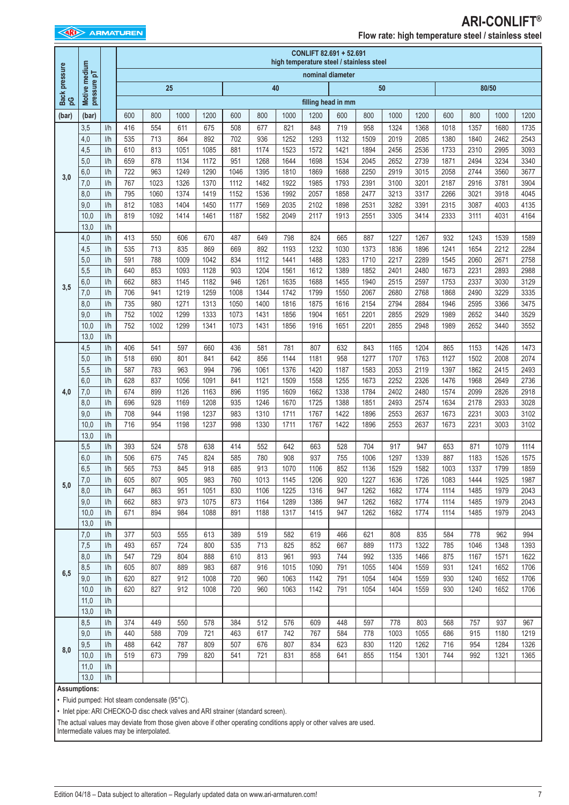### **ARI-CONLIFT® Flow rate: high temperature steel / stainless steel**

|                     |                                                                                                                                                                                                                                                                                                    |            |            | CONLIFT 82.691 + 52.691<br>high temperature steel / stainless steel |              |              |              |              |              |              |                    |              |              |              |              |              |              |              |
|---------------------|----------------------------------------------------------------------------------------------------------------------------------------------------------------------------------------------------------------------------------------------------------------------------------------------------|------------|------------|---------------------------------------------------------------------|--------------|--------------|--------------|--------------|--------------|--------------|--------------------|--------------|--------------|--------------|--------------|--------------|--------------|--------------|
| Back pressure<br>pG | Motive medium<br>pressure pT                                                                                                                                                                                                                                                                       |            |            |                                                                     |              |              |              |              |              |              | nominal diameter   |              |              |              |              |              |              |              |
|                     |                                                                                                                                                                                                                                                                                                    |            |            |                                                                     | 25           |              |              |              | 40           |              |                    |              | 50           |              |              |              | 80/50        |              |
|                     |                                                                                                                                                                                                                                                                                                    |            |            |                                                                     |              |              |              |              |              |              | filling head in mm |              |              |              |              |              |              |              |
| (bar)               | (bar)                                                                                                                                                                                                                                                                                              |            | 600        | 800                                                                 | 1000         | 1200         | 600          | 800          | 1000         | 1200         | 600                | 800          | 1000         | 1200         | 600          | 800          | 1000         | 1200         |
|                     | 3,5                                                                                                                                                                                                                                                                                                | 1/h        | 416        | 554                                                                 | 611          | 675          | 508          | 677          | 821          | 848          | 719                | 958          | 1324         | 1368         | 1018         | 1357         | 1680         | 1735         |
|                     | 4,0<br>4,5                                                                                                                                                                                                                                                                                         | 1/h<br>1/h | 535<br>610 | 713<br>813                                                          | 864<br>1051  | 892<br>1085  | 702<br>881   | 936<br>1174  | 1252<br>1523 | 1293<br>1572 | 1132<br>1421       | 1509<br>1894 | 2019<br>2456 | 2085<br>2536 | 1380<br>1733 | 1840<br>2310 | 2462<br>2995 | 2543<br>3093 |
|                     | 5,0                                                                                                                                                                                                                                                                                                | 1/h        | 659        | 878                                                                 | 1134         | 1172         | 951          | 1268         | 1644         | 1698         | 1534               | 2045         | 2652         | 2739         | 1871         | 2494         | 3234         | 3340         |
| 3,0                 | 6,0                                                                                                                                                                                                                                                                                                | 1/h        | 722        | 963                                                                 | 1249         | 1290         | 1046         | 1395         | 1810         | 1869         | 1688               | 2250         | 2919         | 3015         | 2058         | 2744         | 3560         | 3677         |
|                     | 7,0                                                                                                                                                                                                                                                                                                | 1/h<br>1/h | 767<br>795 | 1023<br>1060                                                        | 1326<br>1374 | 1370<br>1419 | 1112<br>1152 | 1482<br>1536 | 1922<br>1992 | 1985<br>2057 | 1793<br>1858       | 2391<br>2477 | 3100<br>3213 | 3201<br>3317 | 2187<br>2266 | 2916<br>3021 | 3781<br>3918 | 3904<br>4045 |
|                     | 8,0<br>9,0                                                                                                                                                                                                                                                                                         | 1/h        | 812        | 1083                                                                | 1404         | 1450         | 1177         | 1569         | 2035         | 2102         | 1898               | 2531         | 3282         | 3391         | 2315         | 3087         | 4003         | 4135         |
|                     | 10,0                                                                                                                                                                                                                                                                                               | I/h        | 819        | 1092                                                                | 1414         | 1461         | 1187         | 1582         | 2049         | 2117         | 1913               | 2551         | 3305         | 3414         | 2333         | 3111         | 4031         | 4164         |
|                     | 13,0                                                                                                                                                                                                                                                                                               | 1/h        |            |                                                                     |              |              |              |              |              |              |                    |              |              |              |              |              |              |              |
|                     | 4,0                                                                                                                                                                                                                                                                                                | 1/h        | 413        | 550                                                                 | 606          | 670          | 487          | 649          | 798          | 824          | 665                | 887          | 1227         | 1267         | 932          | 1243         | 1539         | 1589         |
|                     | 4,5<br>5,0                                                                                                                                                                                                                                                                                         | 1/h<br>1/h | 535<br>591 | 713<br>788                                                          | 835<br>1009  | 869<br>1042  | 669<br>834   | 892<br>1112  | 1193<br>1441 | 1232<br>1488 | 1030<br>1283       | 1373<br>1710 | 1836<br>2217 | 1896<br>2289 | 1241<br>1545 | 1654<br>2060 | 2212<br>2671 | 2284<br>2758 |
|                     | 5,5                                                                                                                                                                                                                                                                                                | 1/h        | 640        | 853                                                                 | 1093         | 1128         | 903          | 1204         | 1561         | 1612         | 1389               | 1852         | 2401         | 2480         | 1673         | 2231         | 2893         | 2988         |
| 3,5                 | 6,0                                                                                                                                                                                                                                                                                                | 1/h        | 662        | 883                                                                 | 1145         | 1182         | 946          | 1261         | 1635         | 1688         | 1455               | 1940         | 2515         | 2597         | 1753         | 2337         | 3030         | 3129         |
|                     | 7,0                                                                                                                                                                                                                                                                                                | I/h        | 706        | 941                                                                 | 1219         | 1259         | 1008         | 1344         | 1742         | 1799         | 1550               | 2067         | 2680         | 2768         | 1868         | 2490         | 3229         | 3335         |
|                     | 8,0<br>9,0                                                                                                                                                                                                                                                                                         | I/h<br>1/h | 735<br>752 | 980<br>1002                                                         | 1271<br>1299 | 1313<br>1333 | 1050<br>1073 | 1400<br>1431 | 1816<br>1856 | 1875<br>1904 | 1616<br>1651       | 2154<br>2201 | 2794<br>2855 | 2884<br>2929 | 1946<br>1989 | 2595<br>2652 | 3366<br>3440 | 3475<br>3529 |
|                     | 10,0                                                                                                                                                                                                                                                                                               | I/h        | 752        | 1002                                                                | 1299         | 1341         | 1073         | 1431         | 1856         | 1916         | 1651               | 2201         | 2855         | 2948         | 1989         | 2652         | 3440         | 3552         |
|                     | 13,0                                                                                                                                                                                                                                                                                               | I/h        |            |                                                                     |              |              |              |              |              |              |                    |              |              |              |              |              |              |              |
|                     | 4,5                                                                                                                                                                                                                                                                                                | 1/h        | 406        | 541                                                                 | 597          | 660          | 436          | 581          | 781          | 807          | 632                | 843          | 1165         | 1204         | 865          | 1153         | 1426         | 1473         |
|                     | 5,0                                                                                                                                                                                                                                                                                                | I/h        | 518        | 690                                                                 | 801          | 841          | 642          | 856          | 1144         | 1181         | 958                | 1277         | 1707         | 1763         | 1127         | 1502         | 2008         | 2074         |
|                     | 5,5<br>6,0                                                                                                                                                                                                                                                                                         | 1/h<br>1/h | 587<br>628 | 783<br>837                                                          | 963<br>1056  | 994<br>1091  | 796<br>841   | 1061<br>1121 | 1376<br>1509 | 1420<br>1558 | 1187<br>1255       | 1583<br>1673 | 2053<br>2252 | 2119<br>2326 | 1397<br>1476 | 1862<br>1968 | 2415<br>2649 | 2493<br>2736 |
| 4,0                 | 7,0                                                                                                                                                                                                                                                                                                | 1/h        | 674        | 899                                                                 | 1126         | 1163         | 896          | 1195         | 1609         | 1662         | 1338               | 1784         | 2402         | 2480         | 1574         | 2099         | 2826         | 2918         |
|                     | 8,0                                                                                                                                                                                                                                                                                                | 1/h        | 696        | 928                                                                 | 1169         | 1208         | 935          | 1246         | 1670         | 1725         | 1388               | 1851         | 2493         | 2574         | 1634         | 2178         | 2933         | 3028         |
|                     | 9,0                                                                                                                                                                                                                                                                                                | 1/h        | 708        | 944                                                                 | 1198         | 1237         | 983          | 1310         | 1711         | 1767         | 1422               | 1896         | 2553         | 2637         | 1673         | 2231         | 3003         | 3102         |
|                     | 10,0                                                                                                                                                                                                                                                                                               | I/h        | 716        | 954                                                                 | 1198         | 1237         | 998          | 1330         | 1711         | 1767         | 1422               | 1896         | 2553         | 2637         | 1673         | 2231         | 3003         | 3102         |
|                     | 13,0<br>5,5                                                                                                                                                                                                                                                                                        | 1/h<br>1/h | 393        | 524                                                                 | 578          | 638          | 414          | 552          | 642          | 663          | 528                | 704          | 917          | 947          | 653          | 871          | 1079         | 1114         |
|                     | 6,0                                                                                                                                                                                                                                                                                                | 1/h        | 506        | 675                                                                 | 745          | 824          | 585          | 780          | 908          | 937          | 755                | 1006         | 1297         | 1339         | 887          | 1183         | 1526         | 1575         |
|                     | 6,5                                                                                                                                                                                                                                                                                                | I/h        | 565        | 753                                                                 | 845          | 918          | 685          | 913          | 1070         | 1106         | 852                | 1136         | 1529         | 1582         | 1003         | 1337         | 1799         | 1859         |
| 5,0                 | 7,0                                                                                                                                                                                                                                                                                                | 1/h        | 605        | 807                                                                 | 905          | 983          | 760          | 1013         | 1145         | 1206         | 920                | 1227         | 1636         | 1726         | 1083         | 1444         | 1925         | 1987         |
|                     | 8,0<br>9,0                                                                                                                                                                                                                                                                                         | 1/h<br>1/h | 647<br>662 | 863<br>883                                                          | 951<br>973   | 1051<br>1075 | 830<br>873   | 1106<br>1164 | 1225<br>1289 | 1316<br>1386 | 947<br>947         | 1262<br>1262 | 1682<br>1682 | 1774<br>1774 | 1114<br>1114 | 1485<br>1485 | 1979<br>1979 | 2043<br>2043 |
|                     | 10,0                                                                                                                                                                                                                                                                                               | 1/h        | 671        | 894                                                                 | 984          | 1088         | 891          | 1188         | 1317         | 1415         | 947                | 1262         | 1682         | 1774         | 1114         | 1485         | 1979         | 2043         |
|                     | 13,0                                                                                                                                                                                                                                                                                               | I/h        |            |                                                                     |              |              |              |              |              |              |                    |              |              |              |              |              |              |              |
|                     | 7,0                                                                                                                                                                                                                                                                                                | I/h        | 377        | 503                                                                 | 555          | 613          | 389          | 519          | 582          | 619          | 466                | 621          | 808          | 835          | 584          | 778          | 962          | 994          |
|                     | 7,5                                                                                                                                                                                                                                                                                                | 1/h        | 493        | 657                                                                 | 724          | 800          | 535          | 713          | 825          | 852          | 667                | 889          | 1173         | 1322         | 785          | 1046         | 1348         | 1393         |
|                     | 8,0<br>8,5                                                                                                                                                                                                                                                                                         | I/h<br>1/h | 547<br>605 | 729<br>807                                                          | 804<br>889   | 888<br>983   | 610<br>687   | 813<br>916   | 961<br>1015  | 993<br>1090  | 744<br>791         | 992<br>1055  | 1335<br>1404 | 1466<br>1559 | 875<br>931   | 1167<br>1241 | 1571<br>1652 | 1622<br>1706 |
| 6,5                 | 9,0                                                                                                                                                                                                                                                                                                | I/h        | 620        | 827                                                                 | 912          | 1008         | 720          | 960          | 1063         | 1142         | 791                | 1054         | 1404         | 1559         | 930          | 1240         | 1652         | 1706         |
|                     | 10,0                                                                                                                                                                                                                                                                                               | I/h        | 620        | 827                                                                 | 912          | 1008         | 720          | 960          | 1063         | 1142         | 791                | 1054         | 1404         | 1559         | 930          | 1240         | 1652         | 1706         |
|                     | 11,0                                                                                                                                                                                                                                                                                               | I/h        |            |                                                                     |              |              |              |              |              |              |                    |              |              |              |              |              |              |              |
|                     | 13,0<br>8,5                                                                                                                                                                                                                                                                                        | 1/h<br>I/h | 374        | 449                                                                 | 550          | 578          | 384          | 512          | 576          | 609          | 448                | 597          | 778          | 803          | 568          | 757          | 937          | 967          |
|                     | 9,0                                                                                                                                                                                                                                                                                                | 1/h        | 440        | 588                                                                 | 709          | 721          | 463          | 617          | 742          | 767          | 584                | 778          | 1003         | 1055         | 686          | 915          | 1180         | 1219         |
|                     | 9,5                                                                                                                                                                                                                                                                                                | 1/h        | 488        | 642                                                                 | 787          | 809          | 507          | 676          | 807          | 834          | 623                | 830          | 1120         | 1262         | 716          | 954          | 1284         | 1326         |
| 8,0                 | 10,0                                                                                                                                                                                                                                                                                               | I/h        | 519        | 673                                                                 | 799          | 820          | 541          | 721          | 831          | 858          | 641                | 855          | 1154         | 1301         | 744          | 992          | 1321         | 1365         |
|                     | 11,0                                                                                                                                                                                                                                                                                               | 1/h        |            |                                                                     |              |              |              |              |              |              |                    |              |              |              |              |              |              |              |
|                     | 13,0<br><b>Assumptions:</b>                                                                                                                                                                                                                                                                        | I/h        |            |                                                                     |              |              |              |              |              |              |                    |              |              |              |              |              |              |              |
|                     | · Fluid pumped: Hot steam condensate (95°C).<br>• Inlet pipe: ARI CHECKO-D disc check valves and ARI strainer (standard screen).<br>The actual values may deviate from those given above if other operating conditions apply or other valves are used.<br>Intermediate values may be interpolated. |            |            |                                                                     |              |              |              |              |              |              |                    |              |              |              |              |              |              |              |
|                     | Edition 04/18 - Data subject to alteration - Regularly updated data on www.ari-armaturen.com!                                                                                                                                                                                                      |            |            |                                                                     |              |              |              |              |              |              |                    |              |              |              |              |              |              |              |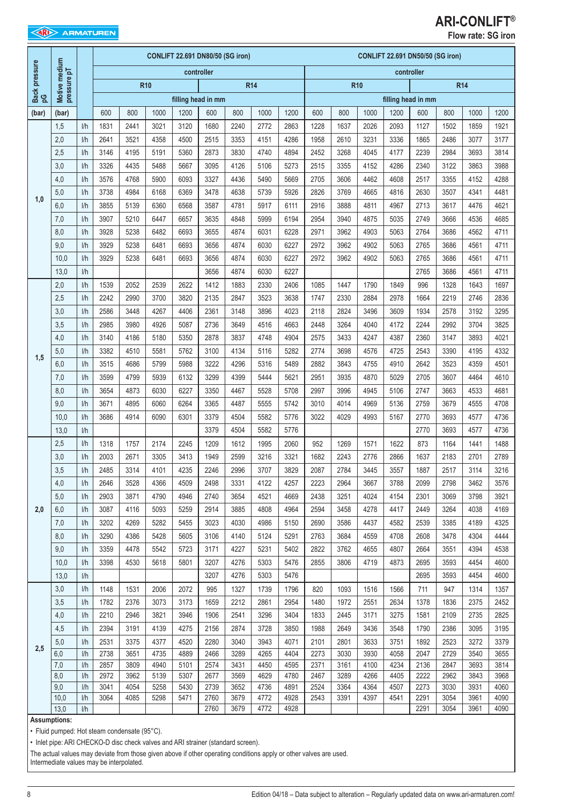| <b>EXAMPLE ARMATUREN</b> |
|--------------------------|
|                          |
|                          |

# **ARI-CONLIFT®**

|             |               |            |              |              |              |              | CONLIFT 22.691 DN80/50 (SG iron) |              |              |              |              |              |              |              | CONLIFT 22.691 DN50/50 (SG iron) |              |              |              |
|-------------|---------------|------------|--------------|--------------|--------------|--------------|----------------------------------|--------------|--------------|--------------|--------------|--------------|--------------|--------------|----------------------------------|--------------|--------------|--------------|
| pressure    | Motive medium |            |              |              |              |              | controller                       |              |              |              |              |              |              |              | controller                       |              |              |              |
|             | pressure pT   |            |              |              | <b>R10</b>   |              |                                  |              | <b>R14</b>   |              |              | <b>R10</b>   |              |              |                                  |              | <b>R14</b>   |              |
| Back<br>ပ္ခ |               |            |              |              |              |              | filling head in mm               |              |              |              |              |              |              |              | filling head in mm               |              |              |              |
| (bar)       | (bar)         |            | 600          | 800          | 1000         | 1200         | 600                              | 800          | 1000         | 1200         | 600          | 800          | 1000         | 1200         | 600                              | 800          | 1000         | 1200         |
|             | 1,5           | 1/h        | 1831         | 2441         | 3021         | 3120         | 1680                             | 2240         | 2772         | 2863         | 1228         | 1637         | 2026         | 2093         | 1127                             | 1502         | 1859         | 1921         |
|             | 2,0           | 1/h        | 2641         | 3521         | 4358         | 4500         | 2515                             | 3353         | 4151         | 4286         | 1958         | 2610         | 3231         | 3336         | 1865                             | 2486         | 3077         | 3177         |
|             | 2,5           | 1/h        | 3146         | 4195         | 5191         | 5360         | 2873                             | 3830         | 4740         | 4894         | 2452         | 3268         | 4045         | 4177         | 2239                             | 2984         | 3693         | 3814         |
|             | 3,0           | 1/h        | 3326         | 4435         | 5488         | 5667         | 3095                             | 4126         | 5106         | 5273         | 2515         | 3355         | 4152         | 4286         | 2340                             | 3122         | 3863         | 3988         |
|             | 4,0           | I/h        | 3576         | 4768         | 5900         | 6093         | 3327                             | 4436         | 5490         | 5669         | 2705         | 3606         | 4462         | 4608         | 2517                             | 3355         | 4152         | 4288         |
| 1,0         | 5,0           | I/h        | 3738         | 4984         | 6168         | 6369         | 3478                             | 4638         | 5739         | 5926         | 2826         | 3769         | 4665         | 4816         | 2630                             | 3507         | 4341         | 4481         |
|             | 6,0           | I/h        | 3855         | 5139         | 6360         | 6568         | 3587                             | 4781         | 5917         | 6111         | 2916         | 3888         | 4811         | 4967         | 2713                             | 3617         | 4476         | 4621         |
|             | 7,0           | I/h        | 3907         | 5210         | 6447         | 6657         | 3635                             | 4848         | 5999         | 6194         | 2954         | 3940         | 4875         | 5035         | 2749                             | 3666         | 4536         | 4685         |
|             | 8,0           | 1/h        | 3928         | 5238         | 6482         | 6693         | 3655                             | 4874         | 6031         | 6228         | 2971         | 3962         | 4903         | 5063         | 2764                             | 3686         | 4562         | 4711         |
|             | 9,0           | I/h        | 3929         | 5238         | 6481         | 6693         | 3656                             | 4874         | 6030         | 6227         | 2972         | 3962         | 4902         | 5063         | 2765                             | 3686         | 4561         | 4711         |
|             | 10,0          | I/h        | 3929         | 5238         | 6481         | 6693         | 3656                             | 4874         | 6030         | 6227         | 2972         | 3962         | 4902         | 5063         | 2765                             | 3686         | 4561         | 4711         |
|             | 13,0          | I/h        |              |              |              |              | 3656                             | 4874         | 6030         | 6227         |              |              |              |              | 2765                             | 3686         | 4561         | 4711         |
|             | 2,0           | 1/h        | 1539         | 2052         | 2539         | 2622         | 1412                             | 1883         | 2330         | 2406         | 1085         | 1447         | 1790         | 1849         | 996                              | 1328         | 1643         | 1697         |
|             | 2,5           | 1/h        | 2242         | 2990         | 3700         | 3820         | 2135                             | 2847         | 3523         | 3638         | 1747         | 2330         | 2884         | 2978         | 1664                             | 2219         | 2746         | 2836         |
|             | 3,0           | I/h        | 2586         | 3448         | 4267         | 4406         | 2361                             | 3148         | 3896         | 4023         | 2118         | 2824         | 3496         | 3609         | 1934                             | 2578         | 3192         | 3295         |
|             | 3,5           | I/h        | 2985         | 3980         | 4926         | 5087         | 2736                             | 3649         | 4516         | 4663         | 2448         | 3264         | 4040         | 4172         | 2244                             | 2992         | 3704         | 3825         |
|             | 4,0           | I/h        | 3140         | 4186         | 5180         | 5350         | 2878                             | 3837         | 4748         | 4904         | 2575         | 3433         | 4247         | 4387         | 2360                             | 3147         | 3893         | 4021         |
| 1,5         | 5,0           | 1/h        | 3382         | 4510         | 5581         | 5762         | 3100                             | 4134         | 5116         | 5282         | 2774         | 3698         | 4576         | 4725         | 2543                             | 3390         | 4195         | 4332         |
|             | 6,0           | 1/h        | 3515         | 4686         | 5799         | 5988         | 3222                             | 4296         | 5316         | 5489         | 2882         | 3843         | 4755         | 4910         | 2642                             | 3523         | 4359         | 4501         |
|             | 7,0           | 1/h        | 3599         | 4799         | 5939         | 6132         | 3299                             | 4399         | 5444         | 5621         | 2951         | 3935         | 4870         | 5029         | 2705                             | 3607         | 4464         | 4610         |
|             | 8,0           | 1/h        | 3654         | 4873         | 6030         | 6227         | 3350                             | 4467         | 5528         | 5708         | 2997         | 3996         | 4945         | 5106         | 2747                             | 3663         | 4533         | 4681         |
|             | 9,0           | 1/h        | 3671         | 4895         | 6060         | 6264         | 3365                             | 4487         | 5555         | 5742         | 3010         | 4014         | 4969         | 5136         | 2759                             | 3679         | 4555         | 4708         |
|             | 10,0          | I/h        | 3686         | 4914         | 6090         | 6301         | 3379                             | 4504         | 5582         | 5776         | 3022         | 4029         | 4993         | 5167         | 2770                             | 3693         | 4577         | 4736         |
|             | 13,0          | 1/h        |              |              |              |              | 3379                             | 4504         | 5582         | 5776         |              |              |              |              | 2770                             | 3693         | 4577         | 4736         |
|             | 2,5           | 1/h        | 1318         | 1757         | 2174         | 2245         | 1209                             | 1612         | 1995         | 2060         | 952          | 1269         | 1571         | 1622         | 873                              | 1164         | 1441         | 1488         |
|             | 3,0           | I/h        | 2003         | 2671         | 3305         | 3413         | 1949                             | 2599         | 3216         | 3321         | 1682         | 2243         | 2776         | 2866         | 1637                             | 2183         | 2701         | 2789         |
|             | 3,5           | I/h        | 2485         | 3314         | 4101         | 4235         | 2246                             | 2996         | 3707         | 3829         | 2087         | 2784         | 3445         | 3557         | 1887                             | 2517         | 3114         | 3216         |
|             | 4,0           | 1/h        | 2646         | 3528         | 4366         | 4509         | 2498                             | 3331         | 4122         | 4257         | 2223         | 2964         | 3667         | 3788         | 2099                             | 2798         | 3462         | 3576         |
|             | 5,0           | 1/h        | 2903         | 3871         | 4790         | 4946         | 2740                             | 3654         | 4521         | 4669         | 2438         | 3251         | 4024         | 4154         | 2301                             | 3069         | 3798         | 3921         |
| 2,0         | 6,0           | 1/h        | 3087         | 4116         | 5093         | 5259         | 2914                             | 3885         | 4808         | 4964         | 2594         | 3458         | 4278         | 4417         | 2449                             | 3264         | 4038         | 4169         |
|             | 7,0           | 1/h        | 3202         | 4269         | 5282         | 5455         | 3023                             | 4030         | 4986         | 5150         | 2690         | 3586         | 4437         | 4582         | 2539                             | 3385         | 4189         | 4325         |
|             | 8,0           | 1/h        | 3290         | 4386         | 5428         | 5605         | 3106                             | 4140         | 5124         | 5291         | 2763         | 3684         | 4559         | 4708         | 2608                             | 3478         | 4304         | 4444         |
|             | 9,0           | 1/h        | 3359         | 4478         | 5542         | 5723         | 3171                             | 4227         | 5231         | 5402         | 2822         | 3762         | 4655         | 4807         | 2664                             | 3551         | 4394         | 4538         |
|             | 10,0          | I/h        | 3398         | 4530         | 5618         | 5801         | 3207                             | 4276         | 5303         | 5476         | 2855         | 3806         | 4719         | 4873         | 2695                             | 3593         | 4454         | 4600         |
|             | 13,0          | 1/h        |              |              |              |              | 3207                             | 4276         | 5303         | 5476         |              |              |              |              | 2695                             | 3593         | 4454         | 4600         |
|             | 3,0           | 1/h        | 1148         | 1531         | 2006         | 2072         | 995                              | 1327         | 1739         | 1796         | 820          | 1093         | 1516         | 1566         | 711                              | 947          | 1314         | 1357         |
|             | 3,5           | 1/h        | 1782         | 2376         | 3073         | 3173         | 1659                             | 2212         | 2861         | 2954         | 1480         | 1972         | 2551         | 2634         | 1378                             | 1836         | 2375         | 2452         |
|             | 4,0           | 1/h        | 2210         | 2946         | 3821         | 3946         | 1906                             | 2541         | 3296         | 3404         | 1833         | 2445         | 3171         | 3275         | 1581                             | 2109         | 2735         | 2825         |
|             | 4,5           | I/h        | 2394         | 3191         | 4139         | 4275         | 2156                             | 2874         | 3728         | 3850         | 1988         | 2649         | 3436         | 3548         | 1790                             | 2386         | 3095         | 3195         |
|             | 5,0           | 1/h        | 2531         | 3375         | 4377         | 4520         | 2280                             | 3040         | 3943         | 4071         | 2101         | 2801         | 3633         | 3751         | 1892                             | 2523         | 3272         | 3379         |
| 2,5         | $6,0$         | 1/h        | 2738         | 3651         | 4735         | 4889         | 2466                             | 3289         | 4265         | 4404         | 2273         | 3030         | 3930         | 4058         | 2047                             | 2729         | 3540         | 3655         |
|             | 7,0           | 1/h        | 2857         | 3809         | 4940         | 5101         | 2574                             | 3431         | 4450         | 4595         | 2371         | 3161         | 4100         | 4234         | 2136                             | 2847         | 3693         | 3814         |
|             | 8,0           | I/h        | 2972         | 3962         | 5139         | 5307         | 2677                             | 3569         | 4629         | 4780         | 2467         | 3289         | 4266         | 4405         | 2222                             | 2962         | 3843         | 3968         |
|             | 9,0<br>10,0   | 1/h<br>1/h | 3041<br>3064 | 4054<br>4085 | 5258<br>5298 | 5430<br>5471 | 2739<br>2760                     | 3652<br>3679 | 4736<br>4772 | 4891<br>4928 | 2524<br>2543 | 3364<br>3391 | 4364<br>4397 | 4507<br>4541 | 2273<br>2291                     | 3030<br>3054 | 3931<br>3961 | 4060<br>4090 |
|             | 13,0          | I/h        |              |              |              |              | 2760                             | 3679         | 4772         | 4928         |              |              |              |              | 2291                             | 3054         | 3961         | 4090         |

### **Assumptions:**

• Fluid pumped: Hot steam condensate (95°C).

• Inlet pipe: ARI CHECKO-D disc check valves and ARI strainer (standard screen).

The actual values may deviate from those given above if other operating conditions apply or other valves are used.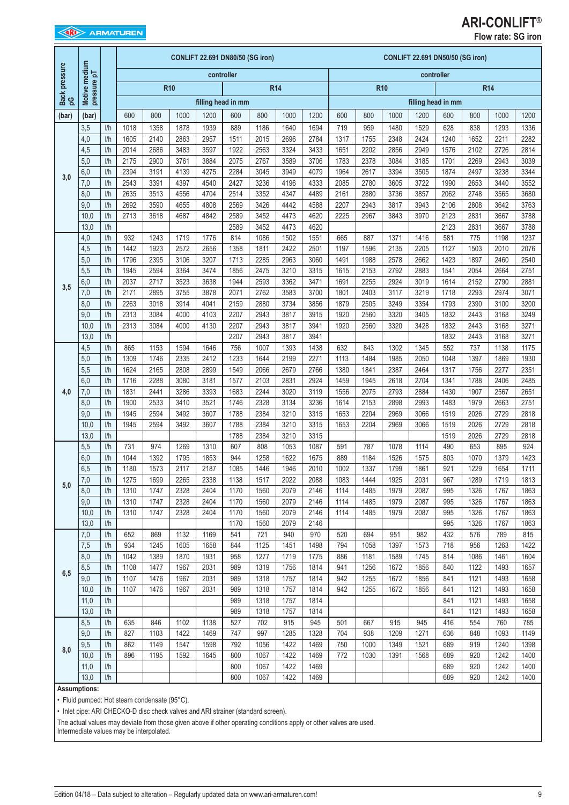## **ARI-CONLIFT®**

**Flow rate: SG iron**

|               |                             |                  |              |              |              | CONLIFT 22.691 DN80/50 (SG iron) |              |              |              |              |              |              |              | CONLIFT 22.691 DN50/50 (SG iron) |                    |              |              |              |
|---------------|-----------------------------|------------------|--------------|--------------|--------------|----------------------------------|--------------|--------------|--------------|--------------|--------------|--------------|--------------|----------------------------------|--------------------|--------------|--------------|--------------|
| Back pressure | Motive medium               |                  |              |              |              |                                  | controller   |              |              |              |              |              |              |                                  | controller         |              |              |              |
|               | pressure pT                 |                  |              |              | <b>R10</b>   |                                  |              |              | <b>R14</b>   |              |              |              | <b>R10</b>   |                                  |                    |              | <b>R14</b>   |              |
| g             |                             |                  |              |              |              | filling head in mm               |              |              |              |              |              |              |              |                                  | filling head in mm |              |              |              |
| (bar)         | (bar)                       |                  | 600          | 800          | 1000         | 1200                             | 600          | 800          | 1000         | 1200         | 600          | 800          | 1000         | 1200                             | 600                | 800          | 1000         | 1200         |
|               | 3,5                         | I/h              | 1018         | 1358         | 1878         | 1939                             | 889          | 1186         | 1640         | 1694         | 719          | 959          | 1480         | 1529                             | 628                | 838          | 1293         | 1336         |
|               | 4,0                         | I/h              | 1605         | 2140         | 2863         | 2957                             | 1511         | 2015         | 2696         | 2784         | 1317         | 1755         | 2348         | 2424                             | 1240               | 1652         | 2211         | 2282         |
|               | 4,5                         | I/h              | 2014         | 2686         | 3483         | 3597                             | 1922         | 2563         | 3324         | 3433         | 1651         | 2202         | 2856         | 2949                             | 1576               | 2102         | 2726         | 2814         |
|               | 5,0                         | 1/h              | 2175         | 2900         | 3761         | 3884                             | 2075         | 2767         | 3589         | 3706         | 1783         | 2378         | 3084         | 3185                             | 1701               | 2269         | 2943         | 3039         |
| 3,0           | 6,0                         | I/h              | 2394         | 3191         | 4139         | 4275                             | 2284         | 3045         | 3949         | 4079         | 1964         | 2617         | 3394         | 3505                             | 1874               | 2497         | 3238         | 3344         |
|               | 7,0                         | I/h              | 2543         | 3391         | 4397         | 4540                             | 2427         | 3236         | 4196         | 4333         | 2085         | 2780         | 3605         | 3722                             | 1990               | 2653         | 3440         | 3552         |
|               | 8,0                         | I/h<br>I/h       | 2635         | 3513         | 4556         | 4704                             | 2514         | 3352         | 4347         | 4489         | 2161         | 2880         | 3736         | 3857                             | 2062               | 2748         | 3565         | 3680         |
|               | 9,0<br>10,0                 | I/h              | 2692<br>2713 | 3590<br>3618 | 4655<br>4687 | 4808<br>4842                     | 2569<br>2589 | 3426<br>3452 | 4442<br>4473 | 4588<br>4620 | 2207<br>2225 | 2943<br>2967 | 3817<br>3843 | 3943<br>3970                     | 2106<br>2123       | 2808<br>2831 | 3642<br>3667 | 3763<br>3788 |
|               | 13,0                        | 1/h              |              |              |              |                                  | 2589         | 3452         | 4473         | 4620         |              |              |              |                                  | 2123               | 2831         | 3667         | 3788         |
|               | 4,0                         | 1/h              | 932          | 1243         | 1719         | 1776                             | 814          | 1086         | 1502         | 1551         | 665          | 887          | 1371         | 1416                             | 581                | 775          | 1198         | 1237         |
|               | 4,5                         | I/h              | 1442         | 1923         | 2572         | 2656                             | 1358         | 1811         | 2422         | 2501         | 1197         | 1596         | 2135         | 2205                             | 1127               | 1503         | 2010         | 2076         |
|               | 5,0                         | I/h              | 1796         | 2395         | 3106         | 3207                             | 1713         | 2285         | 2963         | 3060         | 1491         | 1988         | 2578         | 2662                             | 1423               | 1897         | 2460         | 2540         |
|               | 5,5                         | I/h              | 1945         | 2594         | 3364         | 3474                             | 1856         | 2475         | 3210         | 3315         | 1615         | 2153         | 2792         | 2883                             | 1541               | 2054         | 2664         | 2751         |
|               | 6,0                         | I/h              | 2037         | 2717         | 3523         | 3638                             | 1944         | 2593         | 3362         | 3471         | 1691         | 2255         | 2924         | 3019                             | 1614               | 2152         | 2790         | 2881         |
| 3,5           | 7,0                         | 1/h              | 2171         | 2895         | 3755         | 3878                             | 2071         | 2762         | 3583         | 3700         | 1801         | 2403         | 3117         | 3219                             | 1718               | 2293         | 2974         | 3071         |
|               | 8,0                         | I/h              | 2263         | 3018         | 3914         | 4041                             | 2159         | 2880         | 3734         | 3856         | 1879         | 2505         | 3249         | 3354                             | 1793               | 2390         | 3100         | 3200         |
|               | 9,0                         | I/h              | 2313         | 3084         | 4000         | 4103                             | 2207         | 2943         | 3817         | 3915         | 1920         | 2560         | 3320         | 3405                             | 1832               | 2443         | 3168         | 3249         |
|               | 10,0                        | I/h              | 2313         | 3084         | 4000         | 4130                             | 2207         | 2943         | 3817         | 3941         | 1920         | 2560         | 3320         | 3428                             | 1832               | 2443         | 3168         | 3271         |
|               | 13,0                        | I/h              |              |              |              |                                  | 2207         | 2943         | 3817         | 3941         |              |              |              |                                  | 1832               | 2443         | 3168         | 3271         |
|               | 4,5                         | I/h              | 865          | 1153         | 1594         | 1646                             | 756          | 1007         | 1393         | 1438         | 632          | 843          | 1302         | 1345                             | 552                | 737          | 1138         | 1175         |
|               | 5,0                         | I/h              | 1309         | 1746         | 2335         | 2412                             | 1233         | 1644         | 2199         | 2271         | 1113         | 1484         | 1985         | 2050                             | 1048               | 1397         | 1869         | 1930         |
|               | 5,5<br>6,0                  | 1/h<br>I/h       | 1624<br>1716 | 2165<br>2288 | 2808<br>3080 | 2899<br>3181                     | 1549         | 2066<br>2103 | 2679<br>2831 | 2766         | 1380         | 1841<br>1945 | 2387<br>2618 | 2464<br>2704                     | 1317<br>1341       | 1756<br>1788 | 2277         | 2351         |
| 4,0           | 7,0                         | I/h              | 1831         | 2441         | 3286         | 3393                             | 1577<br>1683 | 2244         | 3020         | 2924<br>3119 | 1459<br>1556 | 2075         | 2793         | 2884                             | 1430               | 1907         | 2406<br>2567 | 2485<br>2651 |
|               | 8,0                         | 1/h              | 1900         | 2533         | 3410         | 3521                             | 1746         | 2328         | 3134         | 3236         | 1614         | 2153         | 2898         | 2993                             | 1483               | 1979         | 2663         | 2751         |
|               | 9,0                         | I/h              | 1945         | 2594         | 3492         | 3607                             | 1788         | 2384         | 3210         | 3315         | 1653         | 2204         | 2969         | 3066                             | 1519               | 2026         | 2729         | 2818         |
|               | 10,0                        | 1/h              | 1945         | 2594         | 3492         | 3607                             | 1788         | 2384         | 3210         | 3315         | 1653         | 2204         | 2969         | 3066                             | 1519               | 2026         | 2729         | 2818         |
|               | 13,0                        | I/h              |              |              |              |                                  | 1788         | 2384         | 3210         | 3315         |              |              |              |                                  | 1519               | 2026         | 2729         | 2818         |
|               | 5,5                         | I/h              | 731          | 974          | 1269         | 1310                             | 607          | 808          | 1053         | 1087         | 591          | 787          | 1078         | 1114                             | 490                | 653          | 895          | 924          |
|               | 6,0                         | I/h              | 1044         | 1392         | 1795         | 1853                             | 944          | 1258         | 1622         | 1675         | 889          | 1184         | 1526         | 1575                             | 803                | 1070         | 1379         | 1423         |
|               | 6,5                         | I/h              | 1180         | 1573         | 2117         | 2187                             | 1085         | 1446         | 1946         | 2010         | 1002         | 1337         | 1799         | 1861                             | 921                | 1229         | 1654         | 1711         |
| 5,0           | 7,0                         | $\overline{1/h}$ | 1275         | 1699         | 2265         | 2338                             | 1138         | 1517         | 2022         | 2088         | 1083         | 1444         | 1925         | 2031                             | 967                | 1289         | 1719         | 1813         |
|               | 8,0                         | 1/h              | 1310         | 1747         | 2328         | 2404                             | 1170         | 1560         | 2079         | 2146         | 1114         | 1485         | 1979         | 2087                             | 995                | 1326         | 1767         | 1863         |
|               | 9,0                         | 1/h              | 1310         | 1747         | 2328         | 2404                             | 1170         | 1560         | 2079         | 2146         | 1114         | 1485         | 1979         | 2087                             | 995                | 1326         | 1767         | 1863         |
|               | 10,0                        | 1/h              | 1310         | 1747         | 2328         | 2404                             | 1170         | 1560         | 2079         | 2146         | 1114         | 1485         | 1979         | 2087                             | 995                | 1326         | 1767         | 1863         |
|               | 13,0                        | 1/h<br>1/h       | 652          | 869          |              | 1169                             | 1170         | 1560         | 2079         | 2146         |              |              |              |                                  | 995                | 1326         | 1767         | 1863         |
|               | $7,0$<br>7,5                | 1/h              | 934          | 1245         | 1132<br>1605 | 1658                             | 541<br>844   | 721<br>1125  | 940<br>1451  | 970<br>1498  | 520<br>794   | 694<br>1058  | 951<br>1397  | 982<br>1573                      | 432<br>718         | 576<br>956   | 789<br>1263  | 815<br>1422  |
|               | 8,0                         | 1/h              | 1042         | 1389         | 1870         | 1931                             | 958          | 1277         | 1719         | 1775         | 886          | 1181         | 1589         | 1745                             | 814                | 1086         | 1461         | 1604         |
|               | 8,5                         | 1/h              | 1108         | 1477         | 1967         | 2031                             | 989          | 1319         | 1756         | 1814         | 941          | 1256         | 1672         | 1856                             | 840                | 1122         | 1493         | 1657         |
| 6,5           | 9,0                         | 1/h              | 1107         | 1476         | 1967         | 2031                             | 989          | 1318         | 1757         | 1814         | 942          | 1255         | 1672         | 1856                             | 841                | 1121         | 1493         | 1658         |
|               | 10,0                        | 1/h              | 1107         | 1476         | 1967         | 2031                             | 989          | 1318         | 1757         | 1814         | 942          | 1255         | 1672         | 1856                             | 841                | 1121         | 1493         | 1658         |
|               | 11,0                        | 1/h              |              |              |              |                                  | 989          | 1318         | 1757         | 1814         |              |              |              |                                  | 841                | 1121         | 1493         | 1658         |
|               | 13,0                        | 1/h              |              |              |              |                                  | 989          | 1318         | 1757         | 1814         |              |              |              |                                  | 841                | 1121         | 1493         | 1658         |
|               | 8,5                         | 1/h              | 635          | 846          | 1102         | 1138                             | 527          | 702          | 915          | 945          | 501          | 667          | 915          | 945                              | 416                | 554          | 760          | 785          |
|               | 9,0                         | 1/h              | 827          | 1103         | 1422         | 1469                             | 747          | 997          | 1285         | 1328         | 704          | 938          | 1209         | 1271                             | 636                | 848          | 1093         | 1149         |
| 8,0           | $9,5$                       | I/h              | 862          | 1149         | 1547         | 1598                             | 792          | 1056         | 1422         | 1469         | 750          | 1000         | 1349         | 1521                             | 689                | 919          | 1240         | 1398         |
|               | 10,0                        | 1/h              | 896          | 1195         | 1592         | 1645                             | 800          | 1067         | 1422         | 1469         | 772          | 1030         | 1391         | 1568                             | 689                | 920          | 1242         | 1400         |
|               | 11,0                        | 1/h              |              |              |              |                                  | 800          | 1067         | 1422         | 1469         |              |              |              |                                  | 689                | 920          | 1242         | 1400         |
|               | 13,0<br><b>Assumptions:</b> | 1/h              |              |              |              |                                  | 800          | 1067         | 1422         | 1469         |              |              |              |                                  | 689                | 920          | 1242         | 1400         |

• Fluid pumped: Hot steam condensate (95°C).

• Inlet pipe: ARI CHECKO-D disc check valves and ARI strainer (standard screen).

The actual values may deviate from those given above if other operating conditions apply or other valves are used.

Intermediate values may be interpolated.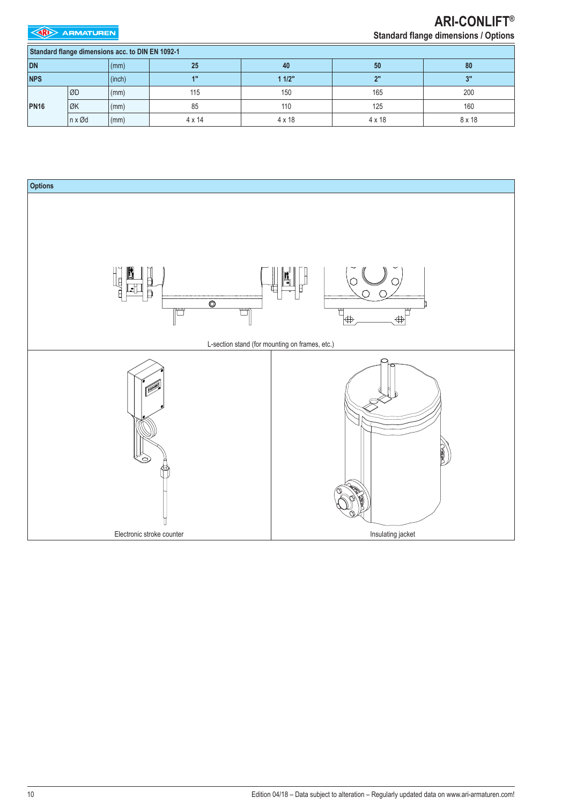**EXP** ARMATUREN

# **ARI-CONLIFT®**

**Standard flange dimensions / Options**

|             | Standard flange dimensions acc. to DIN EN 1092-1 |        |                 |               |               |        |
|-------------|--------------------------------------------------|--------|-----------------|---------------|---------------|--------|
| DN          |                                                  | (mm)   | 25              | 40            | 50            | 80     |
| <b>NPS</b>  |                                                  | (inch) | 4 <sup>11</sup> | 11/2"         | ייפ           | 3"     |
|             | <b>ØD</b>                                        | (mm)   | 115             | 150           | 165           | 200    |
| <b>PN16</b> | ØK                                               | (mm)   | 85              | 110           | 125           | 160    |
|             | $n \times \emptyset d$                           | (mm)   | $4 \times 14$   | $4 \times 18$ | $4 \times 18$ | 8 x 18 |

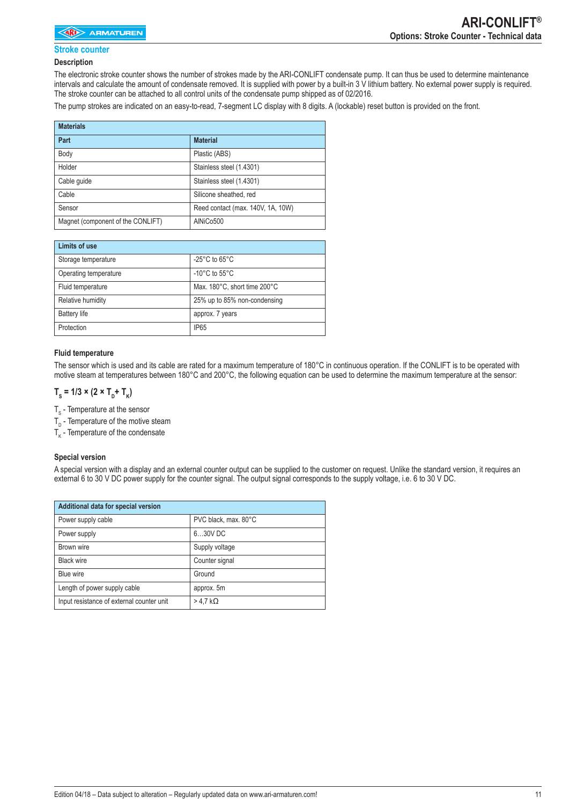### **Stroke counter**

#### **Description**

The electronic stroke counter shows the number of strokes made by the ARI-CONLIFT condensate pump. It can thus be used to determine maintenance intervals and calculate the amount of condensate removed. It is supplied with power by a built-in 3 V lithium battery. No external power supply is required. The stroke counter can be attached to all control units of the condensate pump shipped as of 02/2016.

The pump strokes are indicated on an easy-to-read, 7-segment LC display with 8 digits. A (lockable) reset button is provided on the front.

| <b>Materials</b>                  |                                   |
|-----------------------------------|-----------------------------------|
| Part                              | <b>Material</b>                   |
| Body                              | Plastic (ABS)                     |
| Holder                            | Stainless steel (1.4301)          |
| Cable quide                       | Stainless steel (1.4301)          |
| Cable                             | Silicone sheathed, red            |
| Sensor                            | Reed contact (max. 140V, 1A, 10W) |
| Magnet (component of the CONLIFT) | AINiCo500                         |

| Limits of use         |                                     |
|-----------------------|-------------------------------------|
| Storage temperature   | $-25^{\circ}$ C to 65 $^{\circ}$ C  |
| Operating temperature | -10 $^{\circ}$ C to 55 $^{\circ}$ C |
| Fluid temperature     | Max. 180°C, short time 200°C        |
| Relative humidity     | 25% up to 85% non-condensing        |
| <b>Battery life</b>   | approx. 7 years                     |
| Protection            | IP <sub>65</sub>                    |

#### **Fluid temperature**

The sensor which is used and its cable are rated for a maximum temperature of 180°C in continuous operation. If the CONLIFT is to be operated with motive steam at temperatures between 180°C and 200°C, the following equation can be used to determine the maximum temperature at the sensor:

### $T_s = 1/3 \times (2 \times T_D + T_K)$

 $\mathsf{T}_\mathrm{s}$  - Temperature at the sensor

 $T_{D}$  - Temperature of the motive steam

 ${\mathsf T}_{\mathsf K}$  - Temperature of the condensate

### **Special version**

A special version with a display and an external counter output can be supplied to the customer on request. Unlike the standard version, it requires an external 6 to 30 V DC power supply for the counter signal. The output signal corresponds to the supply voltage, i.e. 6 to 30 V DC.

| Additional data for special version       |                      |
|-------------------------------------------|----------------------|
| Power supply cable                        | PVC black, max. 80°C |
| Power supply                              | 630V DC              |
| Brown wire                                | Supply voltage       |
| <b>Black wire</b>                         | Counter signal       |
| Blue wire                                 | Ground               |
| Length of power supply cable              | approx. 5m           |
| Input resistance of external counter unit | $>$ 4.7 k $\Omega$   |